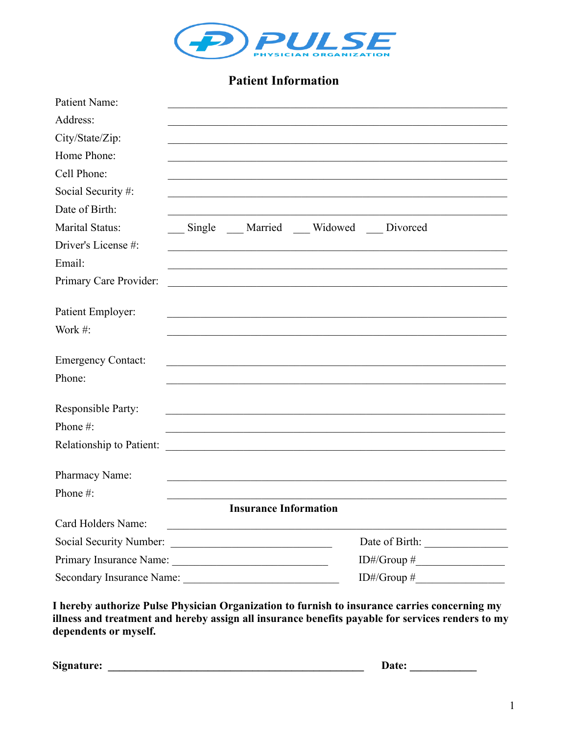

# **Patient Information**

| <b>Patient Name:</b>      |                                                                                           |                                                                                                                                                                                                    |
|---------------------------|-------------------------------------------------------------------------------------------|----------------------------------------------------------------------------------------------------------------------------------------------------------------------------------------------------|
| Address:                  |                                                                                           |                                                                                                                                                                                                    |
| City/State/Zip:           |                                                                                           |                                                                                                                                                                                                    |
| Home Phone:               |                                                                                           |                                                                                                                                                                                                    |
| Cell Phone:               |                                                                                           |                                                                                                                                                                                                    |
| Social Security #:        |                                                                                           |                                                                                                                                                                                                    |
| Date of Birth:            |                                                                                           |                                                                                                                                                                                                    |
| <b>Marital Status:</b>    | Single Married Widowed Divorced                                                           |                                                                                                                                                                                                    |
| Driver's License #:       | the control of the control of the control of the control of the control of the control of |                                                                                                                                                                                                    |
| Email:                    |                                                                                           |                                                                                                                                                                                                    |
| Primary Care Provider:    | <u> 1989 - Johann Barbara, martxa alemaniar arg</u>                                       |                                                                                                                                                                                                    |
| Patient Employer:         |                                                                                           |                                                                                                                                                                                                    |
| Work $#$ :                |                                                                                           |                                                                                                                                                                                                    |
| <b>Emergency Contact:</b> |                                                                                           |                                                                                                                                                                                                    |
| Phone:                    |                                                                                           |                                                                                                                                                                                                    |
| <b>Responsible Party:</b> |                                                                                           |                                                                                                                                                                                                    |
| Phone #:                  |                                                                                           |                                                                                                                                                                                                    |
| Relationship to Patient:  |                                                                                           |                                                                                                                                                                                                    |
| Pharmacy Name:            |                                                                                           |                                                                                                                                                                                                    |
| Phone #:                  |                                                                                           |                                                                                                                                                                                                    |
|                           | <b>Insurance Information</b>                                                              |                                                                                                                                                                                                    |
| Card Holders Name:        | <u> 1989 - Johann John Stone, martin de Britisher (b. 1989)</u>                           |                                                                                                                                                                                                    |
|                           |                                                                                           |                                                                                                                                                                                                    |
|                           |                                                                                           | $ID\#/Group\;\#_{\_\_}\_\_$                                                                                                                                                                        |
| Secondary Insurance Name: |                                                                                           | ID#/Group # $\_\_\_\_\_\_\_\_\_\_\_\_\_\_\_$                                                                                                                                                       |
| dependents or myself.     |                                                                                           | I hereby authorize Pulse Physician Organization to furnish to insurance carries concerning my<br>illness and treatment and hereby assign all insurance benefits payable for services renders to my |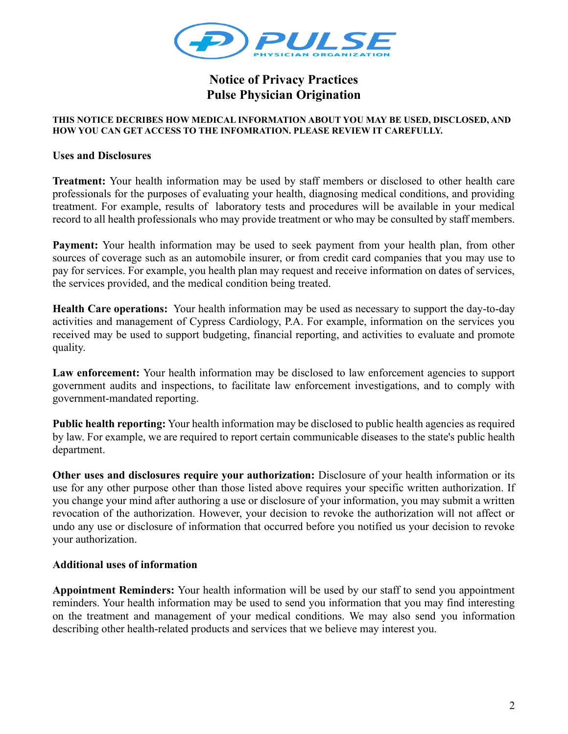

## **Notice of Privacy Practices Pulse Physician Origination**

#### **THIS NOTICE DECRIBES HOW MEDICAL INFORMATION ABOUT YOU MAY BE USED, DISCLOSED, AND HOW YOU CAN GET ACCESS TO THE INFOMRATION. PLEASE REVIEW IT CAREFULLY.**

### **Uses and Disclosures**

**Treatment:** Your health information may be used by staff members or disclosed to other health care professionals for the purposes of evaluating your health, diagnosing medical conditions, and providing treatment. For example, results of laboratory tests and procedures will be available in your medical record to all health professionals who may provide treatment or who may be consulted by staff members.

**Payment:** Your health information may be used to seek payment from your health plan, from other sources of coverage such as an automobile insurer, or from credit card companies that you may use to pay for services. For example, you health plan may request and receive information on dates of services, the services provided, and the medical condition being treated.

**Health Care operations:** Your health information may be used as necessary to support the day-to-day activities and management of Cypress Cardiology, P.A. For example, information on the services you received may be used to support budgeting, financial reporting, and activities to evaluate and promote quality.

Law enforcement: Your health information may be disclosed to law enforcement agencies to support government audits and inspections, to facilitate law enforcement investigations, and to comply with government-mandated reporting.

**Public health reporting:** Your health information may be disclosed to public health agencies as required by law. For example, we are required to report certain communicable diseases to the state's public health department.

**Other uses and disclosures require your authorization:** Disclosure of your health information or its use for any other purpose other than those listed above requires your specific written authorization. If you change your mind after authoring a use or disclosure of your information, you may submit a written revocation of the authorization. However, your decision to revoke the authorization will not affect or undo any use or disclosure of information that occurred before you notified us your decision to revoke your authorization.

### **Additional uses of information**

**Appointment Reminders:** Your health information will be used by our staff to send you appointment reminders. Your health information may be used to send you information that you may find interesting on the treatment and management of your medical conditions. We may also send you information describing other health-related products and services that we believe may interest you.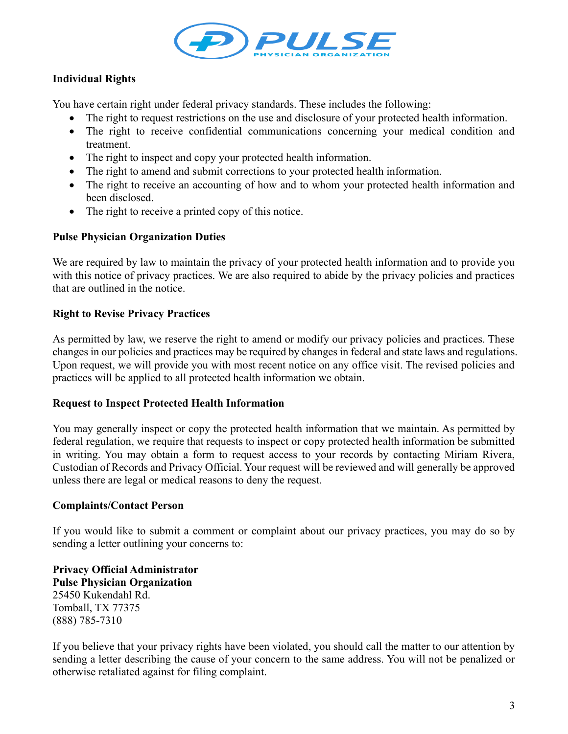

## **Individual Rights**

You have certain right under federal privacy standards. These includes the following:

- The right to request restrictions on the use and disclosure of your protected health information.
- The right to receive confidential communications concerning your medical condition and treatment.
- The right to inspect and copy your protected health information.
- The right to amend and submit corrections to your protected health information.
- The right to receive an accounting of how and to whom your protected health information and been disclosed.
- The right to receive a printed copy of this notice.

### **Pulse Physician Organization Duties**

We are required by law to maintain the privacy of your protected health information and to provide you with this notice of privacy practices. We are also required to abide by the privacy policies and practices that are outlined in the notice.

### **Right to Revise Privacy Practices**

As permitted by law, we reserve the right to amend or modify our privacy policies and practices. These changes in our policies and practices may be required by changes in federal and state laws and regulations. Upon request, we will provide you with most recent notice on any office visit. The revised policies and practices will be applied to all protected health information we obtain.

### **Request to Inspect Protected Health Information**

You may generally inspect or copy the protected health information that we maintain. As permitted by federal regulation, we require that requests to inspect or copy protected health information be submitted in writing. You may obtain a form to request access to your records by contacting Miriam Rivera, Custodian of Records and Privacy Official. Your request will be reviewed and will generally be approved unless there are legal or medical reasons to deny the request.

### **Complaints/Contact Person**

If you would like to submit a comment or complaint about our privacy practices, you may do so by sending a letter outlining your concerns to:

**Privacy Official Administrator Pulse Physician Organization** 25450 Kukendahl Rd. Tomball, TX 77375 (888) 785-7310

If you believe that your privacy rights have been violated, you should call the matter to our attention by sending a letter describing the cause of your concern to the same address. You will not be penalized or otherwise retaliated against for filing complaint.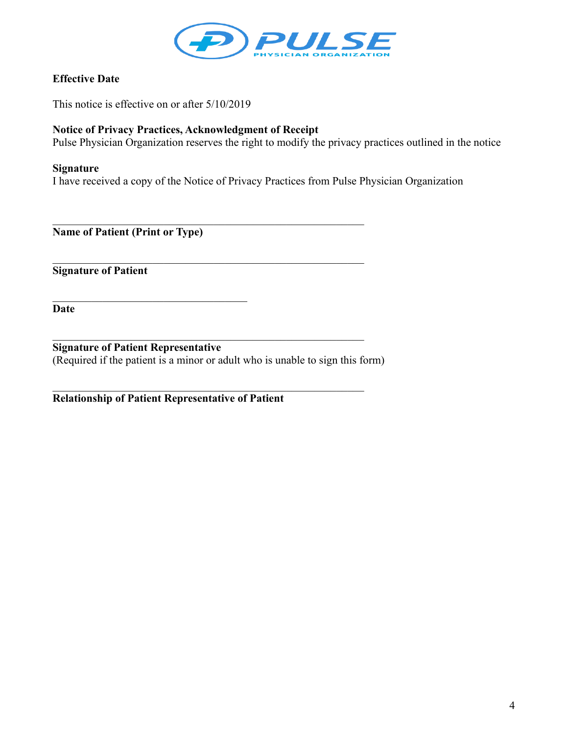

### **Effective Date**

This notice is effective on or after 5/10/2019

### **Notice of Privacy Practices, Acknowledgment of Receipt**

Pulse Physician Organization reserves the right to modify the privacy practices outlined in the notice

### **Signature**

I have received a copy of the Notice of Privacy Practices from Pulse Physician Organization

**Name of Patient (Print or Type)**

**Signature of Patient**

**Date**

**Signature of Patient Representative** (Required if the patient is a minor or adult who is unable to sign this form)

 $\mathcal{L}_\text{max} = \mathcal{L}_\text{max} = \mathcal{L}_\text{max} = \mathcal{L}_\text{max} = \mathcal{L}_\text{max} = \mathcal{L}_\text{max} = \mathcal{L}_\text{max} = \mathcal{L}_\text{max} = \mathcal{L}_\text{max} = \mathcal{L}_\text{max} = \mathcal{L}_\text{max} = \mathcal{L}_\text{max} = \mathcal{L}_\text{max} = \mathcal{L}_\text{max} = \mathcal{L}_\text{max} = \mathcal{L}_\text{max} = \mathcal{L}_\text{max} = \mathcal{L}_\text{max} = \mathcal{$ 

**Relationship of Patient Representative of Patient**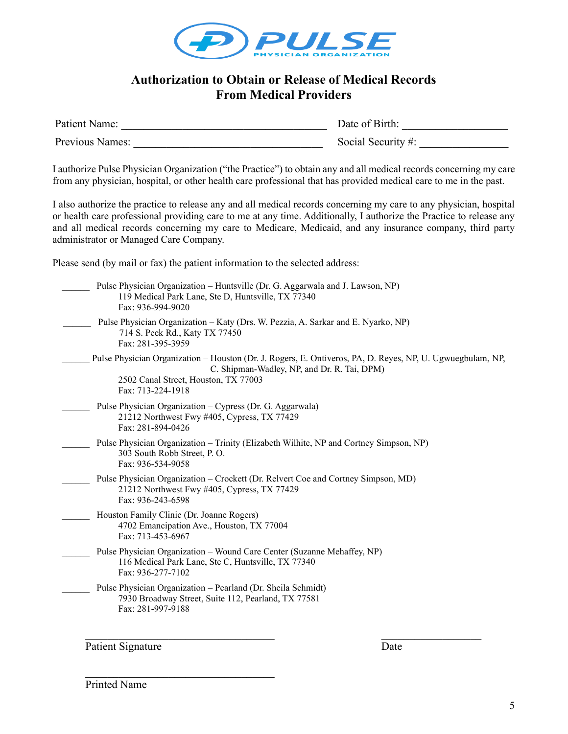

## **Authorization to Obtain or Release of Medical Records From Medical Providers**

| Patient Name:   | Date of Birth:     |
|-----------------|--------------------|
| Previous Names: | Social Security #: |

I authorize Pulse Physician Organization ("the Practice") to obtain any and all medical records concerning my care from any physician, hospital, or other health care professional that has provided medical care to me in the past.

I also authorize the practice to release any and all medical records concerning my care to any physician, hospital or health care professional providing care to me at any time. Additionally, I authorize the Practice to release any and all medical records concerning my care to Medicare, Medicaid, and any insurance company, third party administrator or Managed Care Company.

Please send (by mail or fax) the patient information to the selected address:

| Pulse Physician Organization – Huntsville (Dr. G. Aggarwala and J. Lawson, NP)<br>119 Medical Park Lane, Ste D, Huntsville, TX 77340<br>Fax: 936-994-9020                                                              |  |
|------------------------------------------------------------------------------------------------------------------------------------------------------------------------------------------------------------------------|--|
| Pulse Physician Organization – Katy (Drs. W. Pezzia, A. Sarkar and E. Nyarko, NP)<br>714 S. Peek Rd., Katy TX 77450<br>Fax: 281-395-3959                                                                               |  |
| Pulse Physician Organization – Houston (Dr. J. Rogers, E. Ontiveros, PA, D. Reyes, NP, U. Ugwuegbulam, NP,<br>C. Shipman-Wadley, NP, and Dr. R. Tai, DPM)<br>2502 Canal Street, Houston, TX 77003<br>Fax: 713-224-1918 |  |
| Pulse Physician Organization - Cypress (Dr. G. Aggarwala)<br>21212 Northwest Fwy #405, Cypress, TX 77429<br>Fax: 281-894-0426                                                                                          |  |
| Pulse Physician Organization – Trinity (Elizabeth Wilhite, NP and Cortney Simpson, NP)<br>303 South Robb Street, P.O.<br>Fax: 936-534-9058                                                                             |  |
| Pulse Physician Organization – Crockett (Dr. Relvert Coe and Cortney Simpson, MD)<br>21212 Northwest Fwy #405, Cypress, TX 77429<br>Fax: 936-243-6598                                                                  |  |
| Houston Family Clinic (Dr. Joanne Rogers)<br>4702 Emancipation Ave., Houston, TX 77004<br>Fax: 713-453-6967                                                                                                            |  |
| Pulse Physician Organization - Wound Care Center (Suzanne Mehaffey, NP)<br>116 Medical Park Lane, Ste C, Huntsville, TX 77340<br>Fax: 936-277-7102                                                                     |  |
| Pulse Physician Organization - Pearland (Dr. Sheila Schmidt)<br>7930 Broadway Street, Suite 112, Pearland, TX 77581<br>Fax: 281-997-9188                                                                               |  |

Patient Signature Date

Printed Name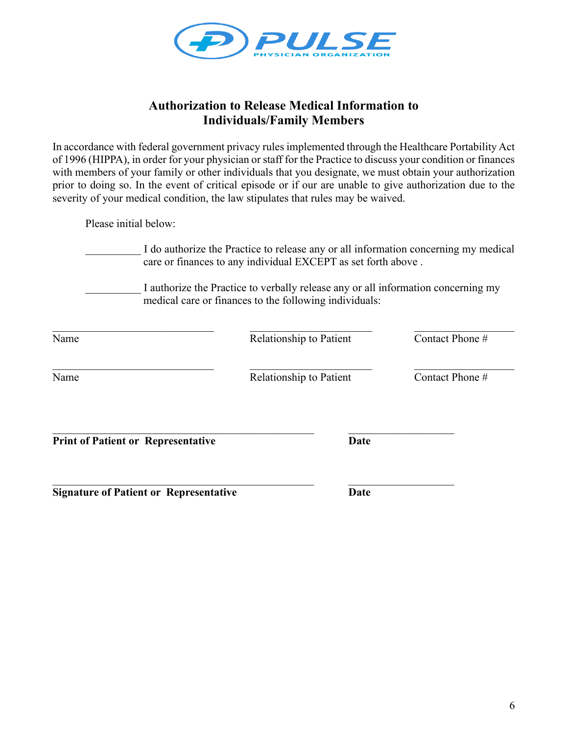

## **Authorization to Release Medical Information to Individuals/Family Members**

In accordance with federal government privacy rules implemented through the Healthcare Portability Act of 1996 (HIPPA), in order for your physician or staff for the Practice to discuss your condition or finances with members of your family or other individuals that you designate, we must obtain your authorization prior to doing so. In the event of critical episode or if our are unable to give authorization due to the severity of your medical condition, the law stipulates that rules may be waived.

Please initial below:

I do authorize the Practice to release any or all information concerning my medical care or finances to any individual EXCEPT as set forth above .

I authorize the Practice to verbally release any or all information concerning my medical care or finances to the following individuals:

| Name                                      | Relationship to Patient | Contact Phone # |
|-------------------------------------------|-------------------------|-----------------|
| Name                                      | Relationship to Patient | Contact Phone # |
| <b>Print of Patient or Representative</b> | <b>Date</b>             |                 |
|                                           |                         |                 |

**Signature of Patient or Representative Date**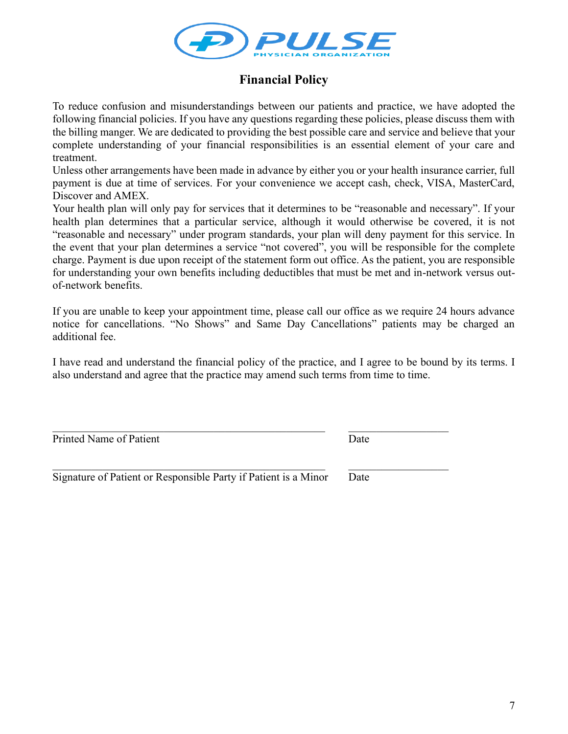

# **Financial Policy**

To reduce confusion and misunderstandings between our patients and practice, we have adopted the following financial policies. If you have any questions regarding these policies, please discuss them with the billing manger. We are dedicated to providing the best possible care and service and believe that your complete understanding of your financial responsibilities is an essential element of your care and treatment.

Unless other arrangements have been made in advance by either you or your health insurance carrier, full payment is due at time of services. For your convenience we accept cash, check, VISA, MasterCard, Discover and AMEX.

Your health plan will only pay for services that it determines to be "reasonable and necessary". If your health plan determines that a particular service, although it would otherwise be covered, it is not "reasonable and necessary" under program standards, your plan will deny payment for this service. In the event that your plan determines a service "not covered", you will be responsible for the complete charge. Payment is due upon receipt of the statement form out office. As the patient, you are responsible for understanding your own benefits including deductibles that must be met and in-network versus outof-network benefits.

If you are unable to keep your appointment time, please call our office as we require 24 hours advance notice for cancellations. "No Shows" and Same Day Cancellations" patients may be charged an additional fee.

I have read and understand the financial policy of the practice, and I agree to be bound by its terms. I also understand and agree that the practice may amend such terms from time to time.

Printed Name of Patient Date

Signature of Patient or Responsible Party if Patient is a Minor Date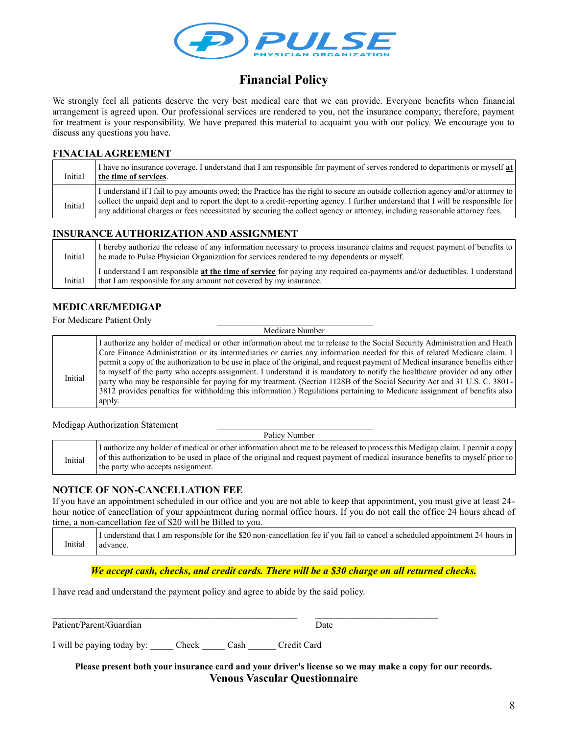

# **Financial Policy**

We strongly feel all patients deserve the very best medical care that we can provide. Everyone benefits when financial arrangement is agreed upon. Our professional services are rendered to you, not the insurance company; therefore, payment for treatment is your responsibility. We have prepared this material to acquaint you with our policy. We encourage you to discuss any questions you have.

#### **FINACIAL AGREEMENT**

| Initial | I have no insurance coverage. I understand that I am responsible for payment of serves rendered to departments or myself at<br>the time of services.                                                                                                                                                                                                                                                |
|---------|-----------------------------------------------------------------------------------------------------------------------------------------------------------------------------------------------------------------------------------------------------------------------------------------------------------------------------------------------------------------------------------------------------|
| Initial | I understand if I fail to pay amounts owed; the Practice has the right to secure an outside collection agency and/or attorney to<br>collect the unpaid dept and to report the dept to a credit-reporting agency. I further understand that I will be responsible for<br>any additional charges or fees necessitated by securing the collect agency or attorney, including reasonable attorney fees. |

#### **INSURANCE AUTHORIZATION AND ASSIGNMENT**

| Initial | I hereby authorize the release of any information necessary to process insurance claims and request payment of benefits to<br>be made to Pulse Physician Organization for services rendered to my dependents or myself. |
|---------|-------------------------------------------------------------------------------------------------------------------------------------------------------------------------------------------------------------------------|
| Initial | I understand I am responsible at the time of service for paying any required co-payments and/or deductibles. I understand<br>that I am responsible for any amount not covered by my insurance.                          |

### **MEDICARE/MEDIGAP**

For Medicare Patient Only

 Medicare Number Initial I authorize any holder of medical or other information about me to release to the Social Security Administration and Heath Care Finance Administration or its intermediaries or carries any information needed for this of related Medicare claim. I permit a copy of the authorization to be use in place of the original, and request payment of Medical insurance benefits either to myself of the party who accepts assignment. I understand it is mandatory to notify the healthcare provider od any other party who may be responsible for paying for my treatment. (Section 1128B of the Social Security Act and 31 U.S. C. 3801- 3812 provides penalties for withholding this information.) Regulations pertaining to Medicare assignment of benefits also apply.

Medigap Authorization Statement

Policy Number

|         | I authorize any holder of medical or other information about me to be released to process this Medigap claim. I permit a copy  |
|---------|--------------------------------------------------------------------------------------------------------------------------------|
| Initial | of this authorization to be used in place of the original and request payment of medical insurance benefits to myself prior to |
|         | the party who accepts assignment.                                                                                              |

#### **NOTICE OF NON-CANCELLATION FEE**

If you have an appointment scheduled in our office and you are not able to keep that appointment, you must give at least 24 hour notice of cancellation of your appointment during normal office hours. If you do not call the office 24 hours ahead of time, a non-cancellation fee of \$20 will be Billed to you.

Initial I understand that I am responsible for the \$20 non-cancellation fee if you fail to cancel a scheduled appointment 24 hours in advance.

*We accept cash, checks, and credit cards. There will be a \$30 charge on all returned checks.*

I have read and understand the payment policy and agree to abide by the said policy.

 $\mathcal{L}_\mathcal{L} = \mathcal{L}_\mathcal{L} = \mathcal{L}_\mathcal{L} = \mathcal{L}_\mathcal{L} = \mathcal{L}_\mathcal{L} = \mathcal{L}_\mathcal{L} = \mathcal{L}_\mathcal{L} = \mathcal{L}_\mathcal{L} = \mathcal{L}_\mathcal{L} = \mathcal{L}_\mathcal{L} = \mathcal{L}_\mathcal{L} = \mathcal{L}_\mathcal{L} = \mathcal{L}_\mathcal{L} = \mathcal{L}_\mathcal{L} = \mathcal{L}_\mathcal{L} = \mathcal{L}_\mathcal{L} = \mathcal{L}_\mathcal{L}$ 

Patient/Parent/Guardian Date

I will be paying today by: \_\_\_\_\_ Check \_\_\_\_\_ Cash \_\_\_\_\_\_ Credit Card

**Please present both your insurance card and your driver's license so we may make a copy for our records. Venous Vascular Questionnaire**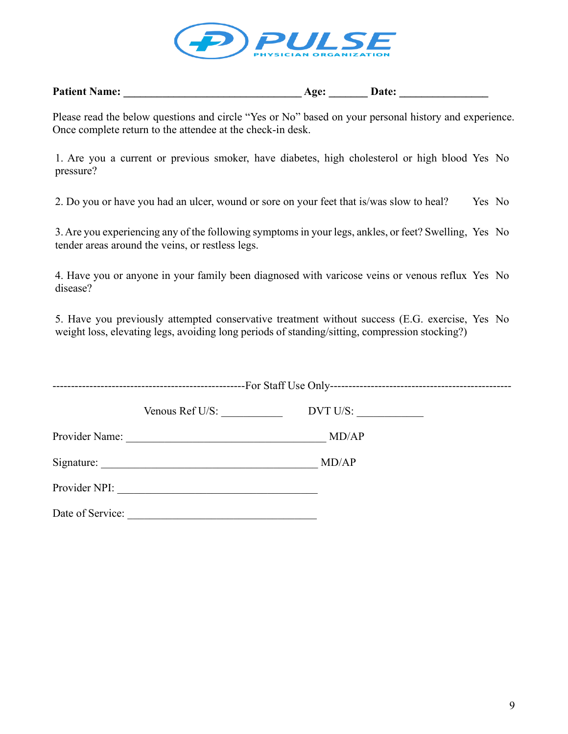

| <b>Patient Name:</b> | Age: | <b>Date:</b> |
|----------------------|------|--------------|
|----------------------|------|--------------|

Please read the below questions and circle "Yes or No" based on your personal history and experience. Once complete return to the attendee at the check-in desk.

1. Are you a current or previous smoker, have diabetes, high cholesterol or high blood Yes No pressure?

2. Do you or have you had an ulcer, wound or sore on your feet that is/was slow to heal? Yes No

3. Are you experiencing any of the following symptoms in your legs, ankles, or feet? Swelling, Yes No tender areas around the veins, or restless legs.

4. Have you or anyone in your family been diagnosed with varicose veins or venous reflux Yes No disease?

5. Have you previously attempted conservative treatment without success (E.G. exercise, Yes No weight loss, elevating legs, avoiding long periods of standing/sitting, compression stocking?)

|                  | Venous Ref U/S:                                                                                                        | DVT U/S: |  |
|------------------|------------------------------------------------------------------------------------------------------------------------|----------|--|
| Provider Name:   | <u> 1989 - Johann Stein, marwolaethau a bhannaich an t-Albann an t-Albann an t-Albann an t-Albann an t-Albann an </u>  | MD/AP    |  |
| Signature:       | <u> 1989 - Johann John Stein, marwolaeth a bhannaich an t-Amhair an t-Amhair an t-Amhair an t-Amhair an t-Amhair a</u> | MD/AP    |  |
| Provider NPI:    |                                                                                                                        |          |  |
| Date of Service: |                                                                                                                        |          |  |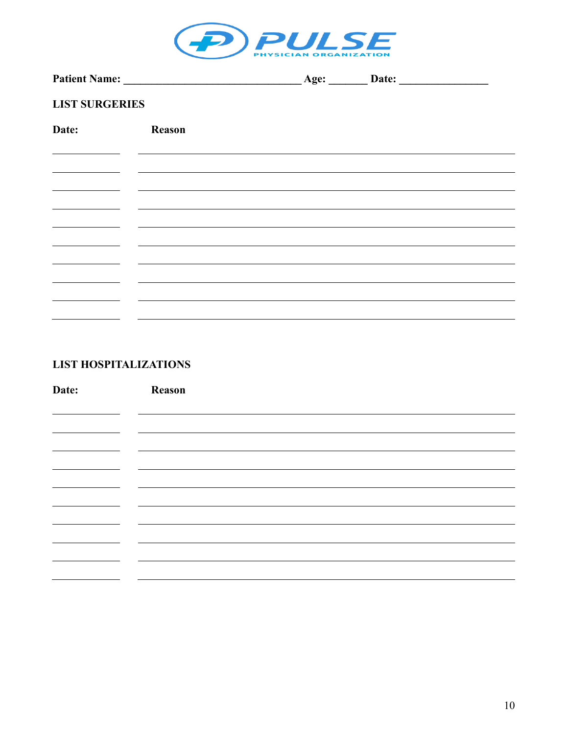

|                       |        | Age: | Date: |  |
|-----------------------|--------|------|-------|--|
| <b>LIST SURGERIES</b> |        |      |       |  |
| Date:                 | Reason |      |       |  |
|                       |        |      |       |  |
|                       |        |      |       |  |
|                       |        |      |       |  |
|                       |        |      |       |  |
|                       |        |      |       |  |
|                       |        |      |       |  |
|                       |        |      |       |  |
|                       |        |      |       |  |
|                       |        |      |       |  |

## **LIST HOSPITALIZATIONS**

| Date: | Reason |  |
|-------|--------|--|
|       |        |  |
|       |        |  |
|       |        |  |
|       |        |  |
|       |        |  |
|       |        |  |
|       |        |  |
|       |        |  |
|       |        |  |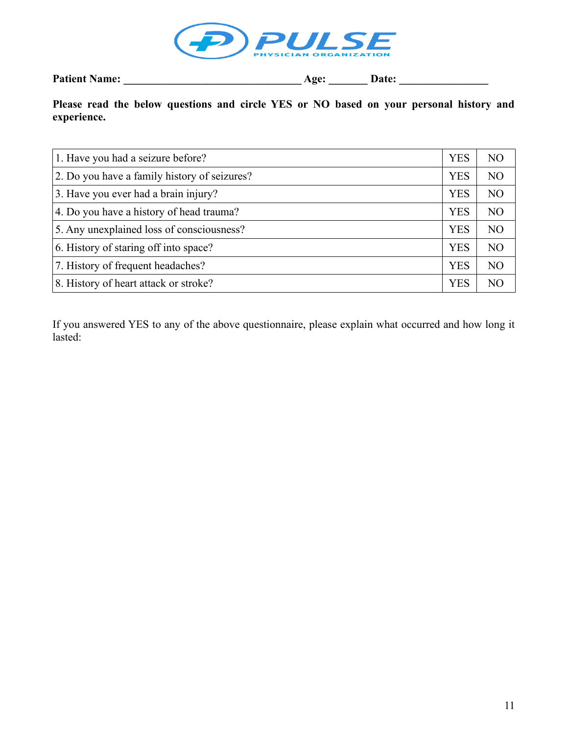

**Patient Name: \_\_\_\_\_\_\_\_\_\_\_\_\_\_\_\_\_\_\_\_\_\_\_\_\_\_\_\_\_\_\_\_ Age: \_\_\_\_\_\_\_ Date: \_\_\_\_\_\_\_\_\_\_\_\_\_\_\_\_**

## **Please read the below questions and circle YES or NO based on your personal history and experience.**

| 1. Have you had a seizure before?            | <b>YES</b> | N <sub>O</sub> |
|----------------------------------------------|------------|----------------|
| 2. Do you have a family history of seizures? | <b>YES</b> | N <sub>O</sub> |
| 3. Have you ever had a brain injury?         | <b>YES</b> | N <sub>O</sub> |
| 4. Do you have a history of head trauma?     | <b>YES</b> | N <sub>O</sub> |
| 5. Any unexplained loss of consciousness?    | <b>YES</b> | N <sub>O</sub> |
| 6. History of staring off into space?        | <b>YES</b> | N <sub>O</sub> |
| 7. History of frequent headaches?            | <b>YES</b> | N <sub>O</sub> |
| 8. History of heart attack or stroke?        | <b>YES</b> | NO.            |

If you answered YES to any of the above questionnaire, please explain what occurred and how long it lasted: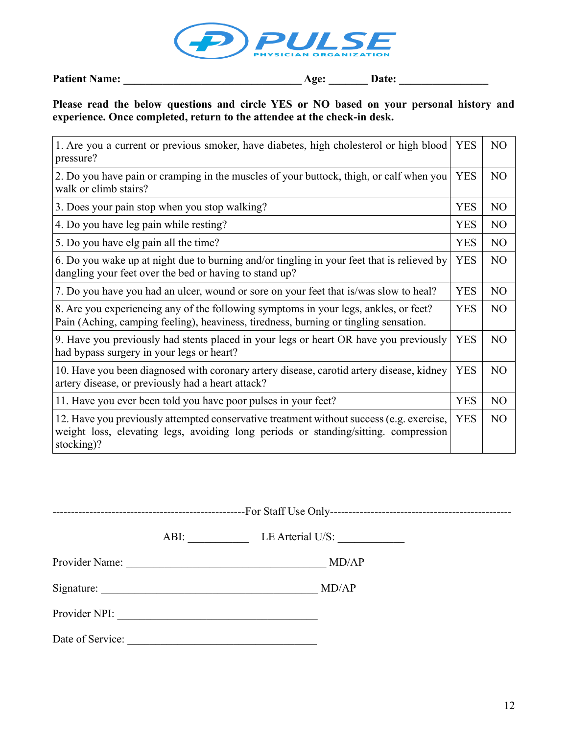

| <b>Patient Name:</b> | <b>Date:</b><br><b>Age:</b> |  |
|----------------------|-----------------------------|--|
|                      |                             |  |

## **Please read the below questions and circle YES or NO based on your personal history and experience. Once completed, return to the attendee at the check-in desk.**

| 1. Are you a current or previous smoker, have diabetes, high cholesterol or high blood<br>pressure?                                                                                           | <b>YES</b> | NO             |
|-----------------------------------------------------------------------------------------------------------------------------------------------------------------------------------------------|------------|----------------|
| 2. Do you have pain or cramping in the muscles of your buttock, thigh, or calf when you<br>walk or climb stairs?                                                                              |            |                |
| 3. Does your pain stop when you stop walking?                                                                                                                                                 | <b>YES</b> | N <sub>O</sub> |
| 4. Do you have leg pain while resting?                                                                                                                                                        | <b>YES</b> | N <sub>O</sub> |
| 5. Do you have elg pain all the time?                                                                                                                                                         | <b>YES</b> | N <sub>O</sub> |
| 6. Do you wake up at night due to burning and/or tingling in your feet that is relieved by<br>dangling your feet over the bed or having to stand up?                                          | <b>YES</b> | N <sub>O</sub> |
| 7. Do you have you had an ulcer, wound or sore on your feet that is/was slow to heal?                                                                                                         | <b>YES</b> | NO.            |
| 8. Are you experiencing any of the following symptoms in your legs, ankles, or feet?<br>Pain (Aching, camping feeling), heaviness, tiredness, burning or tingling sensation.                  |            | N <sub>O</sub> |
| 9. Have you previously had stents placed in your legs or heart OR have you previously<br>had bypass surgery in your legs or heart?                                                            | <b>YES</b> | NO             |
| 10. Have you been diagnosed with coronary artery disease, carotid artery disease, kidney<br>artery disease, or previously had a heart attack?                                                 | <b>YES</b> | N <sub>O</sub> |
| 11. Have you ever been told you have poor pulses in your feet?                                                                                                                                | <b>YES</b> | N <sub>O</sub> |
| 12. Have you previously attempted conservative treatment without success (e.g. exercise,<br>weight loss, elevating legs, avoiding long periods or standing/sitting. compression<br>stocking)? |            | N <sub>O</sub> |

|--|--|

ABI: LE Arterial U/S:

Provider Name: \_\_\_\_\_\_\_\_\_\_\_\_\_\_\_\_\_\_\_\_\_\_\_\_\_\_\_\_\_\_\_\_\_\_\_\_ MD/AP

Signature: \_\_\_\_\_\_\_\_\_\_\_\_\_\_\_\_\_\_\_\_\_\_\_\_\_\_\_\_\_\_\_\_\_\_\_\_\_\_\_ MD/AP

Provider NPI: \_\_\_\_\_\_\_\_\_\_\_\_\_\_\_\_\_\_\_\_\_\_\_\_\_\_\_\_\_\_\_\_\_\_\_\_

Date of Service: \_\_\_\_\_\_\_\_\_\_\_\_\_\_\_\_\_\_\_\_\_\_\_\_\_\_\_\_\_\_\_\_\_\_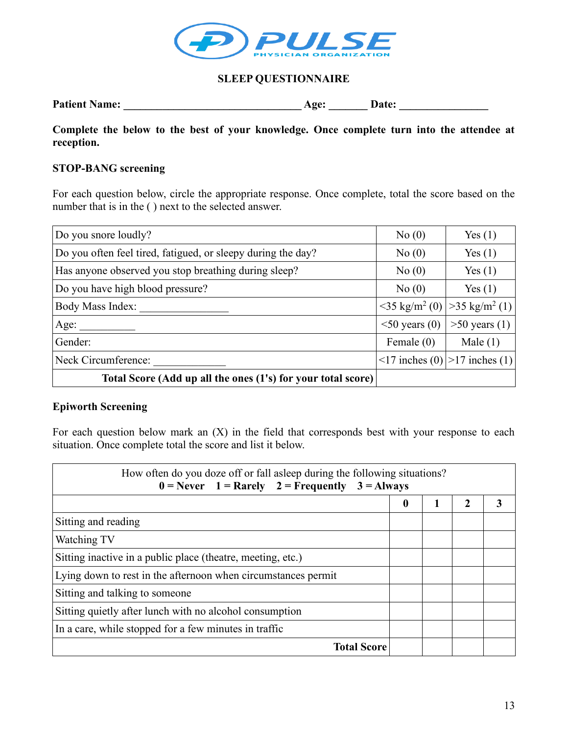

### **SLEEP QUESTIONNAIRE**

| <b>Patient Name:</b> | Age: | <b>Date:</b> |
|----------------------|------|--------------|
|                      |      |              |

**Complete the below to the best of your knowledge. Once complete turn into the attendee at reception.**

### **STOP-BANG screening**

For each question below, circle the appropriate response. Once complete, total the score based on the number that is in the ( ) next to the selected answer.

| Do you snore loudly?                                         | No(0)                                  | Yes(1)                  |
|--------------------------------------------------------------|----------------------------------------|-------------------------|
| Do you often feel tired, fatigued, or sleepy during the day? | No(0)                                  | Yes(1)                  |
| Has anyone observed you stop breathing during sleep?         | No(0)                                  | Yes(1)                  |
| Do you have high blood pressure?                             | No(0)                                  | Yes(1)                  |
| Body Mass Index:                                             | $\langle 35 \text{ kg/m}^2(0) \rangle$ | $>35 \text{ kg/m}^2(1)$ |
| Age:                                                         | $\leq$ 50 years (0)                    | $>50$ years (1)         |
| Gender:                                                      | Female $(0)$                           | Male $(1)$              |
| Neck Circumference:                                          | $\leq$ 17 inches (0)                   | $>17$ inches (1)        |
| Total Score (Add up all the ones (1's) for your total score) |                                        |                         |

### **Epiworth Screening**

For each question below mark an (X) in the field that corresponds best with your response to each situation. Once complete total the score and list it below.

| How often do you doze off or fall asleep during the following situations?<br>$0 =$ Never $1 =$ Rarely $2 =$ Frequently $3 =$ Always |              |  |                |  |  |
|-------------------------------------------------------------------------------------------------------------------------------------|--------------|--|----------------|--|--|
|                                                                                                                                     | $\mathbf{0}$ |  | $\mathfrak{D}$ |  |  |
| Sitting and reading                                                                                                                 |              |  |                |  |  |
| Watching TV                                                                                                                         |              |  |                |  |  |
| Sitting inactive in a public place (theatre, meeting, etc.)                                                                         |              |  |                |  |  |
| Lying down to rest in the afternoon when circumstances permit                                                                       |              |  |                |  |  |
| Sitting and talking to someone                                                                                                      |              |  |                |  |  |
| Sitting quietly after lunch with no alcohol consumption                                                                             |              |  |                |  |  |
| In a care, while stopped for a few minutes in traffic                                                                               |              |  |                |  |  |
| <b>Total Score</b>                                                                                                                  |              |  |                |  |  |